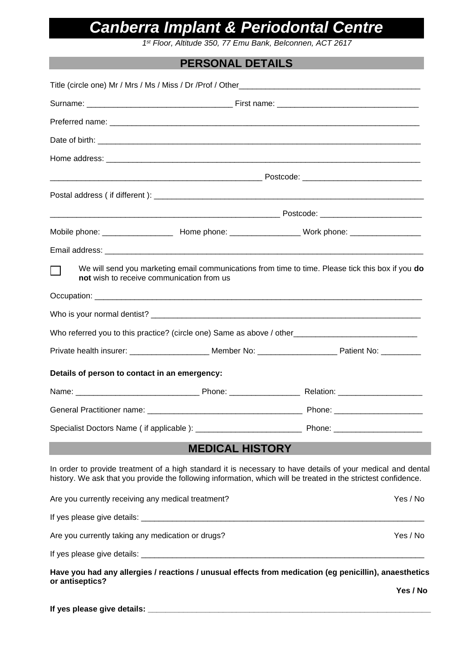# *Canberra Implant & Periodontal Centre*

*1 st Floor, Altitude 350, 77 Emu Bank, Belconnen, ACT 2617*

## **PERSONAL DETAILS**

|                                                    | not wish to receive communication from us | We will send you marketing email communications from time to time. Please tick this box if you do                                                                                                                             |
|----------------------------------------------------|-------------------------------------------|-------------------------------------------------------------------------------------------------------------------------------------------------------------------------------------------------------------------------------|
|                                                    |                                           |                                                                                                                                                                                                                               |
|                                                    |                                           |                                                                                                                                                                                                                               |
|                                                    |                                           | Who referred you to this practice? (circle one) Same as above / other_______________________________                                                                                                                          |
|                                                    |                                           | Private health insurer: _______________________ Member No: ______________________ Patient No: ___________                                                                                                                     |
| Details of person to contact in an emergency:      |                                           |                                                                                                                                                                                                                               |
|                                                    |                                           |                                                                                                                                                                                                                               |
|                                                    |                                           |                                                                                                                                                                                                                               |
|                                                    |                                           |                                                                                                                                                                                                                               |
|                                                    | <b>MEDICAL HISTORY</b>                    |                                                                                                                                                                                                                               |
|                                                    |                                           | In order to provide treatment of a high standard it is necessary to have details of your medical and dental<br>history. We ask that you provide the following information, which will be treated in the strictest confidence. |
| Are you currently receiving any medical treatment? |                                           | Yes / No                                                                                                                                                                                                                      |
|                                                    |                                           |                                                                                                                                                                                                                               |
| Are you currently taking any medication or drugs?  |                                           | Yes / No                                                                                                                                                                                                                      |
|                                                    |                                           |                                                                                                                                                                                                                               |
|                                                    |                                           | Have you had any allergies / reactions / unusual effects from medication (eg penicillin), anaesthetics                                                                                                                        |
| or antiseptics?                                    |                                           | Yes / No                                                                                                                                                                                                                      |
|                                                    |                                           |                                                                                                                                                                                                                               |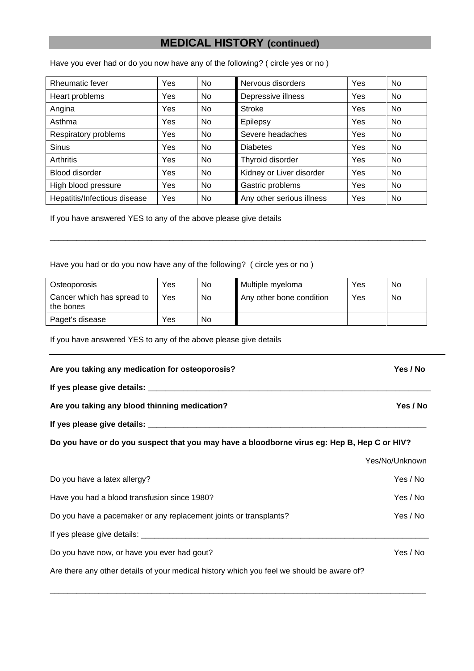### **MEDICAL HISTORY (continued)**

Have you ever had or do you now have any of the following? ( circle yes or no )

| <b>Rheumatic fever</b>       | Yes | <b>No</b> | Nervous disorders         | Yes | No.            |
|------------------------------|-----|-----------|---------------------------|-----|----------------|
| Heart problems               | Yes | No        | Depressive illness        | Yes | No.            |
| Angina                       | Yes | <b>No</b> | Stroke                    | Yes | <b>No</b>      |
| Asthma                       | Yes | No.       | Epilepsy                  | Yes | No.            |
| Respiratory problems         | Yes | <b>No</b> | Severe headaches          | Yes | N <sub>0</sub> |
| <b>Sinus</b>                 | Yes | <b>No</b> | <b>Diabetes</b>           | Yes | <b>No</b>      |
| Arthritis                    | Yes | <b>No</b> | Thyroid disorder          | Yes | No.            |
| <b>Blood disorder</b>        | Yes | <b>No</b> | Kidney or Liver disorder  | Yes | <b>No</b>      |
| High blood pressure          | Yes | <b>No</b> | Gastric problems          | Yes | <b>No</b>      |
| Hepatitis/Infectious disease | Yes | No        | Any other serious illness | Yes | <b>No</b>      |

If you have answered YES to any of the above please give details

Have you had or do you now have any of the following? ( circle yes or no )

| Osteoporosis                            | Yes | No | Multiple myeloma         | Yes | No |
|-----------------------------------------|-----|----|--------------------------|-----|----|
| Cancer which has spread to<br>the bones | Yes | No | Any other bone condition | Yes | No |
| Paget's disease                         | Yes | No |                          |     |    |

\_\_\_\_\_\_\_\_\_\_\_\_\_\_\_\_\_\_\_\_\_\_\_\_\_\_\_\_\_\_\_\_\_\_\_\_\_\_\_\_\_\_\_\_\_\_\_\_\_\_\_\_\_\_\_\_\_\_\_\_\_\_\_\_\_\_\_\_\_\_\_\_\_\_\_\_\_\_\_\_\_\_\_\_\_

If you have answered YES to any of the above please give details

**Are you taking any medication for osteoporosis? Yes / No If yes please give details: \_\_\_\_\_\_\_\_\_\_\_\_\_\_\_\_\_\_\_\_\_\_\_\_\_\_\_\_\_\_\_\_\_\_\_\_\_\_\_\_\_\_\_\_\_\_\_\_\_\_\_\_\_\_\_\_\_\_\_\_\_\_\_\_ Are you taking any blood thinning medication? Yes / No If yes please give details: \_\_\_\_\_\_\_\_\_\_\_\_\_\_\_\_\_\_\_\_\_\_\_\_\_\_\_\_\_\_\_\_\_\_\_\_\_\_\_\_\_\_\_\_\_\_\_\_\_\_\_\_\_\_\_\_\_\_\_\_\_\_\_ Do you have or do you suspect that you may have a bloodborne virus eg: Hep B, Hep C or HIV?** Yes/No/Unknown Do you have a latex allergy? The state of the state of the state of the SNS and Yes / No Have you had a blood transfusion since 1980? The state of the state of the Yes / No Do you have a pacemaker or any replacement joints or transplants?<br>
Yes / No If yes please give details: \_\_\_\_\_\_\_\_\_\_\_\_\_\_\_\_\_\_\_\_\_\_\_\_\_\_\_\_\_\_\_\_\_\_\_\_\_\_\_\_\_\_\_\_\_\_\_\_\_\_\_\_\_\_\_\_\_\_\_\_\_\_\_\_\_ Do you have now, or have you ever had gout? The same state of the state of the Yes / No

\_\_\_\_\_\_\_\_\_\_\_\_\_\_\_\_\_\_\_\_\_\_\_\_\_\_\_\_\_\_\_\_\_\_\_\_\_\_\_\_\_\_\_\_\_\_\_\_\_\_\_\_\_\_\_\_\_\_\_\_\_\_\_\_\_\_\_\_\_\_\_\_\_\_\_\_\_\_\_\_\_\_\_\_\_

Are there any other details of your medical history which you feel we should be aware of?